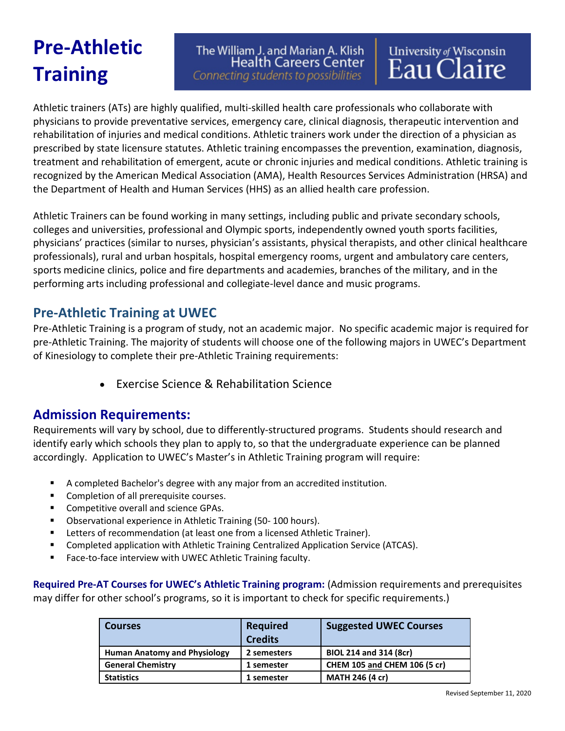# **Pre-Athletic Training**

The William J. and Marian A. Klish **Health Careers Center** Connecting students to possibilities

University of Wisconsin<br>Eau Claire

Athletic trainers (ATs) are highly qualified, multi-skilled health care professionals who collaborate with physicians to provide preventative services, emergency care, clinical diagnosis, therapeutic intervention and rehabilitation of injuries and medical conditions. Athletic trainers work under the direction of a physician as prescribed by state licensure statutes. Athletic training encompasses the prevention, examination, diagnosis, treatment and rehabilitation of emergent, acute or chronic injuries and medical conditions. Athletic training is recognized by the American Medical Association (AMA), Health Resources Services Administration (HRSA) and the Department of Health and Human Services (HHS) as an allied health care profession.

Athletic Trainers can be found working in many settings, including public and private secondary schools, colleges and universities, professional and Olympic sports, independently owned youth sports facilities, physicians' practices (similar to nurses, physician's assistants, physical therapists, and other clinical healthcare professionals), rural and urban hospitals, hospital emergency rooms, urgent and ambulatory care centers, sports medicine clinics, police and fire departments and academies, branches of the military, and in the performing arts including professional and collegiate-level dance and music programs.

## **Pre-Athletic Training at UWEC**

Pre-Athletic Training is a program of study, not an academic major. No specific academic major is required for pre-Athletic Training. The majority of students will choose one of the following majors in UWEC's Department of Kinesiology to complete their pre-Athletic Training requirements:

• Exercise Science & Rehabilitation Science

## **Admission Requirements:**

Requirements will vary by school, due to differently-structured programs. Students should research and identify early which schools they plan to apply to, so that the undergraduate experience can be planned accordingly. Application to UWEC's Master's in Athletic Training program will require:

- A completed Bachelor's degree with any major from an accredited institution.
- **Completion of all prerequisite courses.**
- **Competitive overall and science GPAs.**
- Observational experience in Athletic Training (50- 100 hours).
- **EXECTER 15 Letters of recommendation (at least one from a licensed Athletic Trainer).**
- Completed application with Athletic Training Centralized Application Service (ATCAS).
- **Face-to-face interview with UWEC Athletic Training faculty.**

**Required Pre-AT Courses for UWEC's Athletic Training program:** (Admission requirements and prerequisites may differ for other school's programs, so it is important to check for specific requirements.)

| <b>Courses</b>                      | <b>Required</b><br><b>Credits</b> | <b>Suggested UWEC Courses</b>       |
|-------------------------------------|-----------------------------------|-------------------------------------|
| <b>Human Anatomy and Physiology</b> | 2 semesters                       | BIOL 214 and 314 (8cr)              |
| <b>General Chemistry</b>            | 1 semester                        | <b>CHEM 105 and CHEM 106 (5 cr)</b> |
| <b>Statistics</b>                   | 1 semester                        | <b>MATH 246 (4 cr)</b>              |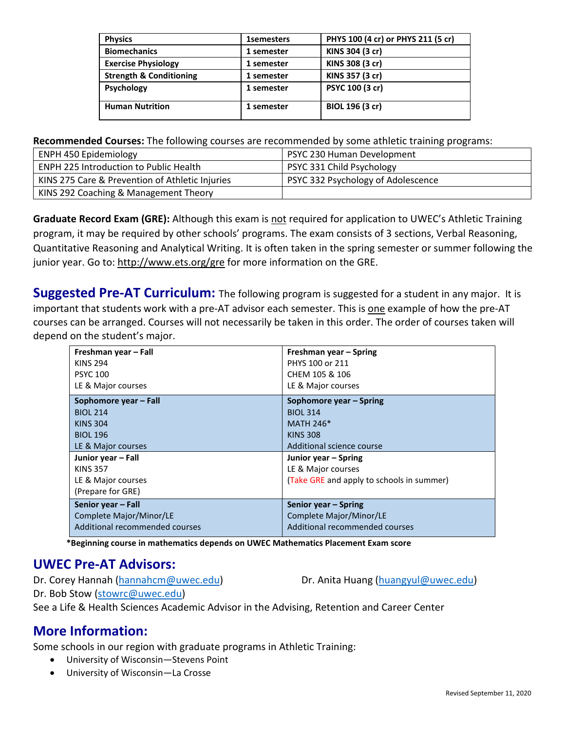| <b>Physics</b>                     | <b>1semesters</b> | PHYS 100 (4 cr) or PHYS 211 (5 cr) |
|------------------------------------|-------------------|------------------------------------|
| <b>Biomechanics</b>                | 1 semester        | KINS 304 (3 cr)                    |
| <b>Exercise Physiology</b>         | 1 semester        | KINS 308 (3 cr)                    |
| <b>Strength &amp; Conditioning</b> | 1 semester        | KINS 357 (3 cr)                    |
| <b>Psychology</b>                  | 1 semester        | PSYC 100 (3 cr)                    |
| <b>Human Nutrition</b>             | 1 semester        | BIOL 196 (3 cr)                    |

**Recommended Courses:** The following courses are recommended by some athletic training programs:

| <b>ENPH 450 Epidemiology</b>                    | PSYC 230 Human Development         |
|-------------------------------------------------|------------------------------------|
| <b>ENPH 225 Introduction to Public Health</b>   | PSYC 331 Child Psychology          |
| KINS 275 Care & Prevention of Athletic Injuries | PSYC 332 Psychology of Adolescence |
| KINS 292 Coaching & Management Theory           |                                    |

**Graduate Record Exam (GRE):** Although this exam is not required for application to UWEC's Athletic Training program, it may be required by other schools' programs. The exam consists of 3 sections, Verbal Reasoning, Quantitative Reasoning and Analytical Writing. It is often taken in the spring semester or summer following the junior year. Go to:<http://www.ets.org/gre> for more information on the GRE.

**Suggested Pre-AT Curriculum:** The following program is suggested for a student in any major. It is important that students work with a pre-AT advisor each semester. This is one example of how the pre-AT courses can be arranged. Courses will not necessarily be taken in this order. The order of courses taken will depend on the student's major.

| Freshman year - Fall           | Freshman year - Spring                    |
|--------------------------------|-------------------------------------------|
| <b>KINS 294</b>                | PHYS 100 or 211                           |
| <b>PSYC 100</b>                | CHEM 105 & 106                            |
| LE & Major courses             | LE & Major courses                        |
| Sophomore year - Fall          | Sophomore year - Spring                   |
| <b>BIOL 214</b>                | <b>BIOL 314</b>                           |
| <b>KINS 304</b>                | <b>MATH 246*</b>                          |
| <b>BIOL 196</b>                | <b>KINS 308</b>                           |
| LE & Major courses             | Additional science course                 |
| Junior year - Fall             | Junior year – Spring                      |
| <b>KINS 357</b>                | LE & Major courses                        |
| LE & Major courses             | (Take GRE and apply to schools in summer) |
| (Prepare for GRE)              |                                           |
| Senior year - Fall             | Senior year – Spring                      |
| Complete Major/Minor/LE        | Complete Major/Minor/LE                   |
| Additional recommended courses | Additional recommended courses            |

**\*Beginning course in mathematics depends on UWEC Mathematics Placement Exam score**

### **UWEC Pre-AT Advisors:**

Dr. Corey Hannah [\(hannahcm@uwec.edu\)](mailto:hannahcm@uwec.edu) Dr. Anita Huang [\(huangyul@uwec.edu\)](mailto:huangyul@uwec.edu)

Dr. Bob Stow [\(stowrc@uwec.edu\)](mailto:stowrc@uwec.edu)

See a Life & Health Sciences Academic Advisor in the Advising, Retention and Career Center

### **More Information:**

Some schools in our region with graduate programs in Athletic Training:

- University of Wisconsin—Stevens Point
- University of Wisconsin—La Crosse